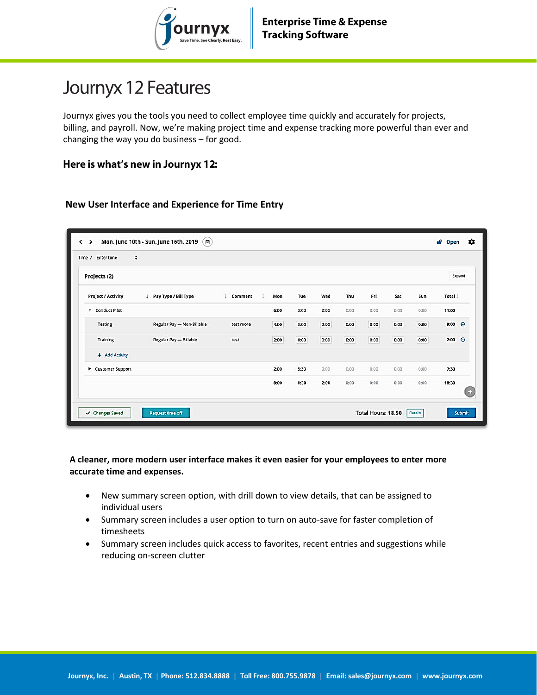

# Journyx 12 Features

Journyx gives you the tools you need to collect employee time quickly and accurately for projects, billing, and payroll. Now, we're making project time and expense tracking more powerful than ever and changing the way you do business – for good.

#### Here is what's new in Journyx 12:

#### **New User Interface and Experience for Time Entry**

| Projects (2)              |                            |           |      |      |      |      |      |      |      | Expand          |
|---------------------------|----------------------------|-----------|------|------|------|------|------|------|------|-----------------|
| Project / Activity        | Pay Type / Bill Type       | Comment   | Mon  | Tue  | Wed  | Thu  | Fri  | Sat  | Sun  | Total !         |
| <b>Conduct Pilot</b><br>v |                            |           | 6:00 | 3:00 | 2:00 | 0:00 | 0:00 | 0:00 | 0:00 | 11:00           |
| Testing                   | Regular Pay - Non-Billable | test more | 4:00 | 3:00 | 2:00 | 0:00 | 0:00 | 0:00 | 0:00 | 9:00 $\Theta$   |
| Training                  | Regular Pay - Billable     | test      | 2:00 | 0:00 | 0:00 | 0:00 | 0:00 | 0:00 | 0:00 | $2:00$ $\Theta$ |
| + Add Activity            |                            |           |      |      |      |      |      |      |      |                 |
| Customer Support          |                            |           | 2:00 | 5:30 | 0:00 | 0:00 | 0:00 | 0:00 | 0:00 | 7:30            |
|                           |                            |           | 8:00 | 8:30 | 2:00 | 0:00 | 0:00 | 0:00 | 0:00 | 18:30           |

#### **A cleaner, more modern user interface makes it even easier for your employees to enter more accurate time and expenses.**

- New summary screen option, with drill down to view details, that can be assigned to individual users
- Summary screen includes a user option to turn on auto-save for faster completion of timesheets
- Summary screen includes quick access to favorites, recent entries and suggestions while reducing on-screen clutter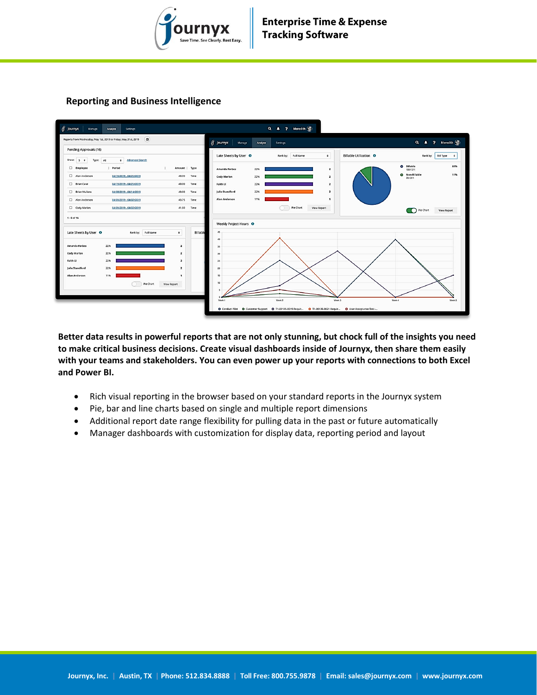

#### **Reporting and Business Intelligence**



**Better data results in powerful reports that are not only stunning, but chock full of the insights you need to make critical business decisions. Create visual dashboards inside of Journyx, then share them easily with your teams and stakeholders. You can even power up your reports with connections to both Excel and Power BI.**

- Rich visual reporting in the browser based on your standard reports in the Journyx system
- Pie, bar and line charts based on single and multiple report dimensions
- Additional report date range flexibility for pulling data in the past or future automatically
- Manager dashboards with customization for display data, reporting period and layout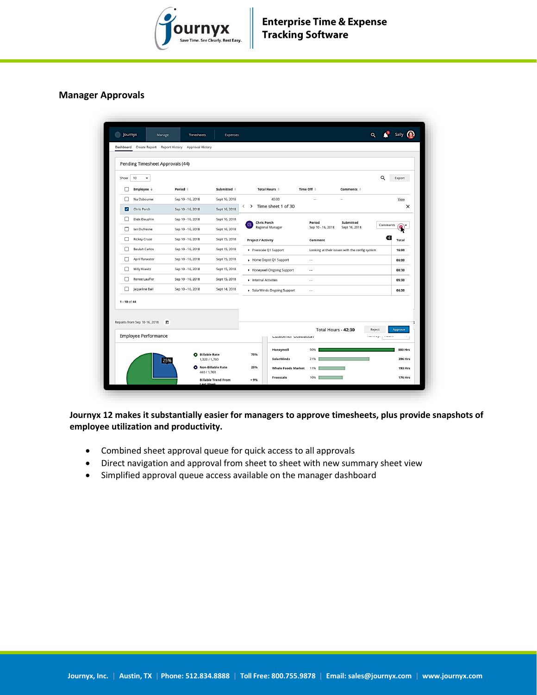

#### **Manager Approvals**

| Q<br>10<br>Export<br>۰<br>Employee ÷<br>Period ÷<br>Submitted #<br>Total Hours #<br>Time Off $\div$<br>Comments ÷<br>$\mathbf{I}$<br>Nu Osbourne<br>Sep 10 - 16, 2018<br>40:00<br>⊓<br>Sept 16, 2018<br>View<br>$\sim$<br>$\sim$<br>Time sheet 1 of 30<br>$\rightarrow$<br>$\times$<br>$\overline{\phantom{0}}$<br>Chris Porch<br>Sept 16, 2018<br>$\blacktriangledown$<br>Sep 10 - 16, 2018<br>Elide Dauphin<br>Sept 16, 2018<br>П<br>Sep 10 - 16, 2018<br><b>Chris Porch</b><br>Period<br>Submitted<br>$\mathsf{cs}$<br>Comments<br>Regional Manager<br>Sep 10 - 16, 2018<br>Sept 16, 2018<br>lan Dufresne<br>Sep 10 - 16, 2018<br>Sept 16, 2018<br>$\mathbf{L}$<br>K.<br><b>Rickey Cruse</b><br>$\Box$<br>Sep 10 - 16, 2018<br>Sept 15, 2018<br>Total<br><b>Project / Activity</b><br>Comment<br><b>Beulah Carlos</b><br>Sep 10 - 16, 2018<br>Sept 15, 2018<br>Freescale Q1 Support<br>Looking at their issues with the config system<br>16:00<br>April Tarwater<br>Sep 10 - 16, 2018<br>Sept 15, 2018<br>$\perp$<br>Home Depot Q1 Support<br>$\sim$<br>06:00<br>Milly Kravitz<br>$\Box$<br>Sep 10 - 16, 2018<br>Sept 15, 2018<br>• Honeywell Ongoing Support<br>08:30<br>$\sim$<br>Renee Lauffer<br>П<br>Sep 10 - 16, 2018<br>Sept 15, 2018<br>Internal Activities<br>05:30<br>$\sim$ $\sim$<br>Jaqueline Bail<br>П<br>Sep 10 - 16, 2018<br>Sept 14, 2018<br>> SolarWinds Ongoing Support<br>06:30<br>$\sim$<br>Reports from Sep 10-16, 2018<br>Θ<br>Total Hours - 42:30<br>Reject<br>Approve<br>Employee Performance<br>CONCERT VEHICLE OF<br>immun nega<br><b>THEFT</b><br>Honeywell<br><b>880 Hrs</b><br>50%<br><b>Billable Rate</b><br>75%<br>۰<br>SolarWinds<br>396 Hrs<br>1,320 / 1,760<br>21%<br>25% | Pending Timesheet Approvals (44) |  |  |  |  |  |
|-----------------------------------------------------------------------------------------------------------------------------------------------------------------------------------------------------------------------------------------------------------------------------------------------------------------------------------------------------------------------------------------------------------------------------------------------------------------------------------------------------------------------------------------------------------------------------------------------------------------------------------------------------------------------------------------------------------------------------------------------------------------------------------------------------------------------------------------------------------------------------------------------------------------------------------------------------------------------------------------------------------------------------------------------------------------------------------------------------------------------------------------------------------------------------------------------------------------------------------------------------------------------------------------------------------------------------------------------------------------------------------------------------------------------------------------------------------------------------------------------------------------------------------------------------------------------------------------------------------------------------------------------------------------------------------------------------------------|----------------------------------|--|--|--|--|--|
|                                                                                                                                                                                                                                                                                                                                                                                                                                                                                                                                                                                                                                                                                                                                                                                                                                                                                                                                                                                                                                                                                                                                                                                                                                                                                                                                                                                                                                                                                                                                                                                                                                                                                                                 |                                  |  |  |  |  |  |
|                                                                                                                                                                                                                                                                                                                                                                                                                                                                                                                                                                                                                                                                                                                                                                                                                                                                                                                                                                                                                                                                                                                                                                                                                                                                                                                                                                                                                                                                                                                                                                                                                                                                                                                 | Show                             |  |  |  |  |  |
|                                                                                                                                                                                                                                                                                                                                                                                                                                                                                                                                                                                                                                                                                                                                                                                                                                                                                                                                                                                                                                                                                                                                                                                                                                                                                                                                                                                                                                                                                                                                                                                                                                                                                                                 |                                  |  |  |  |  |  |
|                                                                                                                                                                                                                                                                                                                                                                                                                                                                                                                                                                                                                                                                                                                                                                                                                                                                                                                                                                                                                                                                                                                                                                                                                                                                                                                                                                                                                                                                                                                                                                                                                                                                                                                 |                                  |  |  |  |  |  |
|                                                                                                                                                                                                                                                                                                                                                                                                                                                                                                                                                                                                                                                                                                                                                                                                                                                                                                                                                                                                                                                                                                                                                                                                                                                                                                                                                                                                                                                                                                                                                                                                                                                                                                                 |                                  |  |  |  |  |  |
|                                                                                                                                                                                                                                                                                                                                                                                                                                                                                                                                                                                                                                                                                                                                                                                                                                                                                                                                                                                                                                                                                                                                                                                                                                                                                                                                                                                                                                                                                                                                                                                                                                                                                                                 |                                  |  |  |  |  |  |
|                                                                                                                                                                                                                                                                                                                                                                                                                                                                                                                                                                                                                                                                                                                                                                                                                                                                                                                                                                                                                                                                                                                                                                                                                                                                                                                                                                                                                                                                                                                                                                                                                                                                                                                 |                                  |  |  |  |  |  |
|                                                                                                                                                                                                                                                                                                                                                                                                                                                                                                                                                                                                                                                                                                                                                                                                                                                                                                                                                                                                                                                                                                                                                                                                                                                                                                                                                                                                                                                                                                                                                                                                                                                                                                                 |                                  |  |  |  |  |  |
|                                                                                                                                                                                                                                                                                                                                                                                                                                                                                                                                                                                                                                                                                                                                                                                                                                                                                                                                                                                                                                                                                                                                                                                                                                                                                                                                                                                                                                                                                                                                                                                                                                                                                                                 |                                  |  |  |  |  |  |
|                                                                                                                                                                                                                                                                                                                                                                                                                                                                                                                                                                                                                                                                                                                                                                                                                                                                                                                                                                                                                                                                                                                                                                                                                                                                                                                                                                                                                                                                                                                                                                                                                                                                                                                 |                                  |  |  |  |  |  |
|                                                                                                                                                                                                                                                                                                                                                                                                                                                                                                                                                                                                                                                                                                                                                                                                                                                                                                                                                                                                                                                                                                                                                                                                                                                                                                                                                                                                                                                                                                                                                                                                                                                                                                                 |                                  |  |  |  |  |  |
|                                                                                                                                                                                                                                                                                                                                                                                                                                                                                                                                                                                                                                                                                                                                                                                                                                                                                                                                                                                                                                                                                                                                                                                                                                                                                                                                                                                                                                                                                                                                                                                                                                                                                                                 |                                  |  |  |  |  |  |
|                                                                                                                                                                                                                                                                                                                                                                                                                                                                                                                                                                                                                                                                                                                                                                                                                                                                                                                                                                                                                                                                                                                                                                                                                                                                                                                                                                                                                                                                                                                                                                                                                                                                                                                 |                                  |  |  |  |  |  |
|                                                                                                                                                                                                                                                                                                                                                                                                                                                                                                                                                                                                                                                                                                                                                                                                                                                                                                                                                                                                                                                                                                                                                                                                                                                                                                                                                                                                                                                                                                                                                                                                                                                                                                                 | $1 - 10$ of 44                   |  |  |  |  |  |
|                                                                                                                                                                                                                                                                                                                                                                                                                                                                                                                                                                                                                                                                                                                                                                                                                                                                                                                                                                                                                                                                                                                                                                                                                                                                                                                                                                                                                                                                                                                                                                                                                                                                                                                 |                                  |  |  |  |  |  |
|                                                                                                                                                                                                                                                                                                                                                                                                                                                                                                                                                                                                                                                                                                                                                                                                                                                                                                                                                                                                                                                                                                                                                                                                                                                                                                                                                                                                                                                                                                                                                                                                                                                                                                                 |                                  |  |  |  |  |  |
|                                                                                                                                                                                                                                                                                                                                                                                                                                                                                                                                                                                                                                                                                                                                                                                                                                                                                                                                                                                                                                                                                                                                                                                                                                                                                                                                                                                                                                                                                                                                                                                                                                                                                                                 |                                  |  |  |  |  |  |
|                                                                                                                                                                                                                                                                                                                                                                                                                                                                                                                                                                                                                                                                                                                                                                                                                                                                                                                                                                                                                                                                                                                                                                                                                                                                                                                                                                                                                                                                                                                                                                                                                                                                                                                 |                                  |  |  |  |  |  |
|                                                                                                                                                                                                                                                                                                                                                                                                                                                                                                                                                                                                                                                                                                                                                                                                                                                                                                                                                                                                                                                                                                                                                                                                                                                                                                                                                                                                                                                                                                                                                                                                                                                                                                                 |                                  |  |  |  |  |  |
|                                                                                                                                                                                                                                                                                                                                                                                                                                                                                                                                                                                                                                                                                                                                                                                                                                                                                                                                                                                                                                                                                                                                                                                                                                                                                                                                                                                                                                                                                                                                                                                                                                                                                                                 |                                  |  |  |  |  |  |

**Journyx 12 makes it substantially easier for managers to approve timesheets, plus provide snapshots of employee utilization and productivity.** 

- Combined sheet approval queue for quick access to all approvals
- Direct navigation and approval from sheet to sheet with new summary sheet view
- Simplified approval queue access available on the manager dashboard